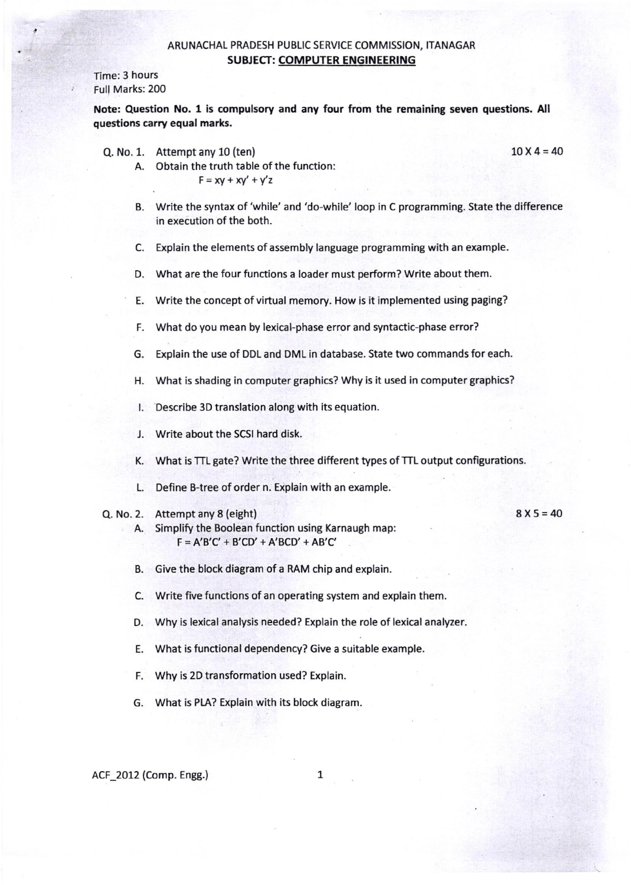## ARUNACHAL PRADESH PUBLIC SERVICE COMMISSION, ITANAGAR SUBJECT: COMPUTER ENGINEERING

## Time: 3 hours Full Marks: 200

Note: question No. 1 is compulsory and any four from the remaining seven questions. All questions carry equal marks.

Q. No. 1. Attempt any 10 (ten)

 $10 \times 4 = 40$ 

- Obtain the truth table of the function: A.  $F = xy + xy' + y'z$
- B. Write the syntax of 'while' and 'do-while' loop in C programming. State the difference in execution of the both.
- C. Explain the elements of assembly language programming with an example.
- D. What are the four functions a loader must perform? Write about them.
- E. Write the concept of virtual memory. How is it implemented using paging?
- F. What do you mean by lexical-phase error and syntactic-phase error?
- G. Explain the use of DDL and DML in database. State two commands for each.
- H. What is shading in computer graphics? Why is it used in computer graphics?
- I. Describe 3D translation along with its equation.
- J. Write about the SCSI hard disk.
- K. What is TTL gate? write the three different types ofTTL output configurations.
- L. Define B-tree of order n. Explain with an example.
- O. No. 2. Attempt any 8 (eight)

 $8X5=40$ 

- A, Simplify the Boolean function using Karnaugh map:  $F = A'B'C' + B'CD' + A'BCD' + AB'C'$
- B. Give the block diagram of a RAM chip and explain.
- C. Write five functions of an operating system and explain them.
- D. Why is lexical analysis needed? Explain the role of lexical analyzer.
- E. What is functional dependency? Give a suitable example.
- F. Why is 2D transformation used? Explain.
- G. What is PLA? Explain with its block diagram.